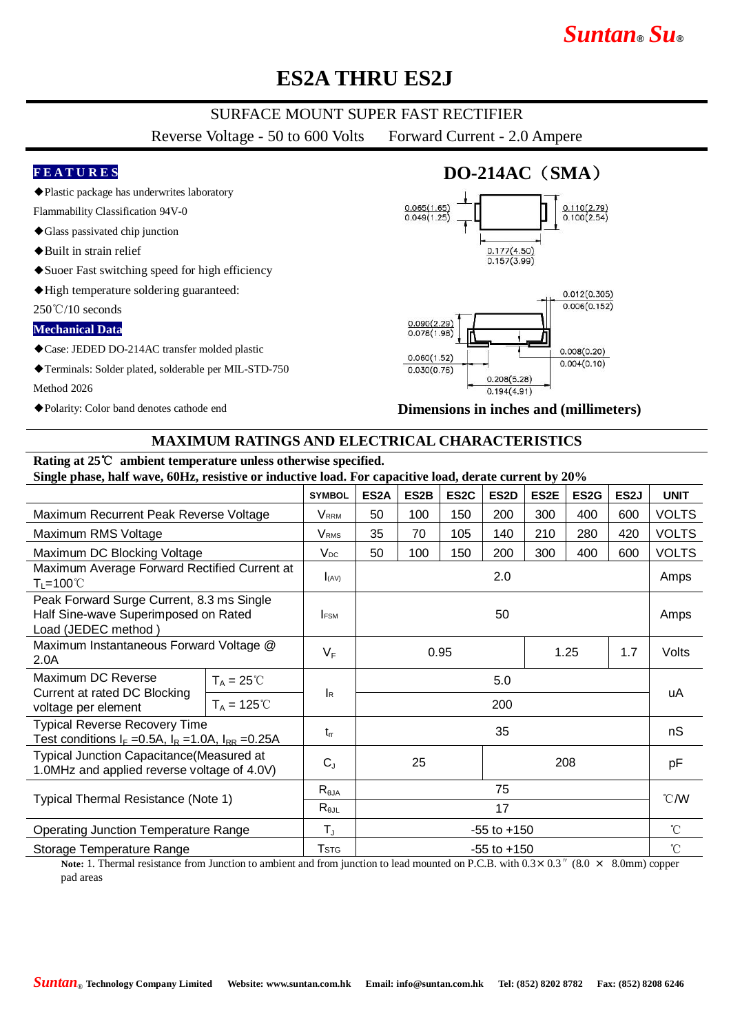# *Suntan***®** *Su***®**

# **ES2A THRU ES2J**

## SURFACE MOUNT SUPER FAST RECTIFIER

Reverse Voltage - 50 to 600 Volts Forward Current - 2.0 Ampere

#### **F E A T U R E S**

◆Plastic package has underwrites laboratory

- Flammability Classification 94V-0
- ◆Glass passivated chip junction
- ◆Built in strain relief
- ◆Suoer Fast switching speed for high efficiency
- ◆High temperature soldering guaranteed:

250℃/10 seconds

#### **Mechanical Data**

- ◆Case: JEDED DO-214AC transfer molded plastic
- ◆Terminals: Solder plated, solderable per MIL-STD-750

Method 2026

◆Polarity: Color band denotes cathode end

## **DO-214AC**(**SMA**)





**Dimensions in inches and (millimeters)**

### **MAXIMUM RATINGS AND ELECTRICAL CHARACTERISTICS**

#### **Rating at 25**℃ **ambient temperature unless otherwise specified. Single phase, half wave, 60Hz, resistive or inductive load. For capacitive load, derate current by 20%**

|                                                                                                                                                                      |                      | <b>SYMBOL</b>                                 | ES2A                                                                                  | ES2B | ES <sub>2</sub> C | ES2D | ES2E  | ES <sub>2</sub> G | ES <sub>2</sub> J | <b>UNIT</b>      |
|----------------------------------------------------------------------------------------------------------------------------------------------------------------------|----------------------|-----------------------------------------------|---------------------------------------------------------------------------------------|------|-------------------|------|-------|-------------------|-------------------|------------------|
| Maximum Recurrent Peak Reverse Voltage                                                                                                                               |                      | Vrrm                                          | 50                                                                                    | 100  | 150               | 200  | 300   | 400               | 600               | <b>VOLTS</b>     |
| Maximum RMS Voltage                                                                                                                                                  |                      | V <sub>RMS</sub>                              | 35                                                                                    | 70   | 105               | 140  | 210   | 280               | 420               | <b>VOLTS</b>     |
| Maximum DC Blocking Voltage                                                                                                                                          |                      | $V_{DC}$                                      | 50                                                                                    | 100  | 150               | 200  | 300   | 400               | 600               | <b>VOLTS</b>     |
| Maximum Average Forward Rectified Current at<br>$T_L = 100^{\circ}$ C                                                                                                |                      | I(AV)                                         | 2.0                                                                                   |      |                   |      |       |                   |                   | Amps             |
| Peak Forward Surge Current, 8.3 ms Single<br>Half Sine-wave Superimposed on Rated<br>Load (JEDEC method)                                                             |                      | <b>FSM</b>                                    | 50                                                                                    |      |                   |      |       |                   |                   | Amps             |
| Maximum Instantaneous Forward Voltage @<br>2.0A                                                                                                                      |                      | $V_F$                                         | 0.95<br>1.25<br>1.7                                                                   |      |                   |      | Volts |                   |                   |                  |
| Maximum DC Reverse<br>Current at rated DC Blocking<br>voltage per element                                                                                            | $T_A = 25^{\circ}C$  |                                               | 5.0                                                                                   |      |                   |      |       |                   |                   | uA               |
|                                                                                                                                                                      | $T_A = 125^{\circ}C$ | <b>I</b> R                                    | 200                                                                                   |      |                   |      |       |                   |                   |                  |
| <b>Typical Reverse Recovery Time</b><br>Test conditions $I_F = 0.5A$ , $I_R = 1.0A$ , $I_{RR} = 0.25A$                                                               |                      | $t_{rr}$                                      | 35                                                                                    |      |                   |      |       |                   | nS                |                  |
| <b>Typical Junction Capacitance (Measured at</b><br>1.0MHz and applied reverse voltage of 4.0V)                                                                      |                      | $C_{J}$                                       | 25<br>208                                                                             |      |                   |      | pF    |                   |                   |                  |
| Typical Thermal Resistance (Note 1)                                                                                                                                  |                      | $R_{\theta JA}$                               | 75                                                                                    |      |                   |      |       |                   |                   | $\mathcal{C}$ /W |
|                                                                                                                                                                      |                      | $R_{\theta\text{JL}}$                         |                                                                                       | 17   |                   |      |       |                   |                   |                  |
| <b>Operating Junction Temperature Range</b>                                                                                                                          |                      | $T_{\text{J}}$                                | $-55$ to $+150$                                                                       |      |                   |      |       |                   |                   | $^{\circ}$ C     |
| Storage Temperature Range<br>the contract of the contract of the contract of the contract of the contract of the contract of the contract of<br>$\sim$ 1 mm $\sim$ 1 |                      | $\mathsf{T}$ stg<br>$\mathbf{1}$ $\mathbf{c}$ | $-55$ to $+150$<br>$PCD = 11.00 \cdot 0.2$ (0.0)<br>$0.0 \times 10^{-1}$<br>$\sim$ 1. |      |                   |      |       |                   |                   | $\rm ^{\circ}C$  |

**Note:** 1. Thermal resistance from Junction to ambient and from junction to lead mounted on P.C.B. with  $0.3 \times 0.3$   $\%$  (8.0  $\times$  8.0mm) copper pad areas